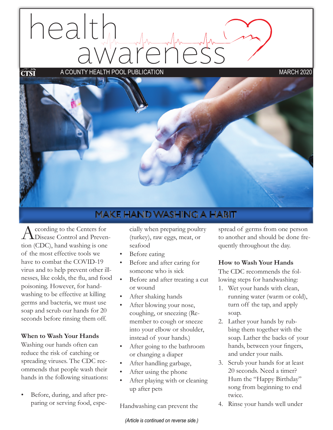# health awareness a county health pool publication march 2020ĆŤŜĪ



# **MAKE HAND WASHING A HABIT**

According to the Centers for<br>
Disease Control and Prevention (CDC), hand washing is one of the most effective tools we have to combat the COVID-19 virus and to help prevent other illnesses, like colds, the flu, and food poisoning. However, for handwashing to be effective at killing germs and bacteria, we must use soap and scrub our hands for 20 seconds before rinsing them off.

#### **When to Wash Your Hands**

Washing our hands often can reduce the risk of catching or spreading viruses. The CDC recommends that people wash their hands in the following situations:

Before, during, and after preparing or serving food, especially when preparing poultry (turkey), raw eggs, meat, or seafood

- Before eating
- Before and after caring for someone who is sick
- Before and after treating a cut or wound
- After shaking hands
- After blowing your nose, coughing, or sneezing (Remember to cough or sneeze into your elbow or shoulder, instead of your hands.)
- After going to the bathroom or changing a diaper
- After handling garbage,
- After using the phone
- After playing with or cleaning up after pets

Handwashing can prevent the

*(Article is continued on reverse side.)*

spread of germs from one person to another and should be done frequently throughout the day.

#### **How to Wash Your Hands**

The CDC recommends the following steps for handwashing:

- 1. Wet your hands with clean, running water (warm or cold), turn off the tap, and apply soap.
- 2. Lather your hands by rubbing them together with the soap. Lather the backs of your hands, between your fingers, and under your nails.
- 3. Scrub your hands for at least 20 seconds. Need a timer? Hum the "Happy Birthday" song from beginning to end twice.
- 4. Rinse your hands well under